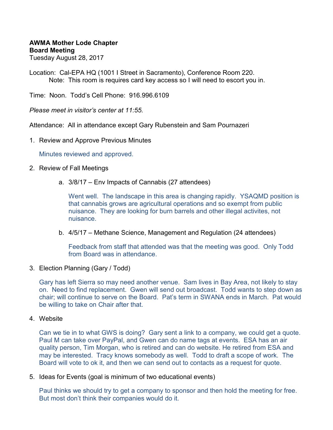# **AWMA Mother Lode Chapter Board Meeting**

Tuesday August 28, 2017

Location: Cal-EPA HQ (1001 I Street in Sacramento), Conference Room 220. Note: This room is requires card key access so I will need to escort you in.

Time: Noon. Todd's Cell Phone: 916.996.6109

*Please meet in visitor's center at 11:55.* 

Attendance: All in attendance except Gary Rubenstein and Sam Pournazeri

1. Review and Approve Previous Minutes

Minutes reviewed and approved.

- 2. Review of Fall Meetings
	- a. 3/8/17 Env Impacts of Cannabis (27 attendees)

Went well. The landscape in this area is changing rapidly. YSAQMD position is that cannabis grows are agricultural operations and so exempt from public nuisance. They are looking for burn barrels and other illegal activites, not nuisance.

b. 4/5/17 – Methane Science, Management and Regulation (24 attendees)

Feedback from staff that attended was that the meeting was good. Only Todd from Board was in attendance.

3. Election Planning (Gary / Todd)

Gary has left Sierra so may need another venue. Sam lives in Bay Area, not likely to stay on. Need to find replacement. Gwen will send out broadcast. Todd wants to step down as chair; will continue to serve on the Board. Pat's term in SWANA ends in March. Pat would be willing to take on Chair after that.

4. Website

Can we tie in to what GWS is doing? Gary sent a link to a company, we could get a quote. Paul M can take over PayPal, and Gwen can do name tags at events. ESA has an air quality person, Tim Morgan, who is retired and can do website. He retired from ESA and may be interested. Tracy knows somebody as well. Todd to draft a scope of work. The Board will vote to ok it, and then we can send out to contacts as a request for quote.

5. Ideas for Events (goal is minimum of two educational events)

Paul thinks we should try to get a company to sponsor and then hold the meeting for free. But most don't think their companies would do it.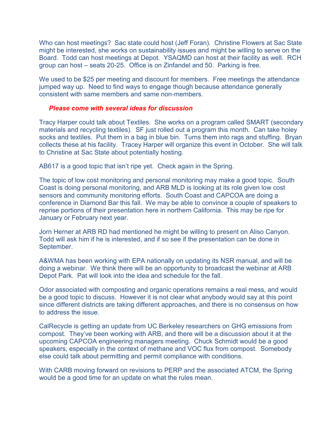Who can host meetings? Sac state could host (Jeff Foran). Christine Flowers at Sac State might be interested, she works on sustainability issues and might be willing to serve on the Board. Todd can host meetings at Depot. YSAQMD can host at their facility as well. RCH group can host – seats 20-25. Office is on Zinfandel and 50. Parking is free.

We used to be \$25 per meeting and discount for members. Free meetings the attendance jumped way up. Need to find ways to engage though because attendance generally consistent with same members and same non-members.

### *Please come with several ideas for discussion*

Tracy Harper could talk about Textiles. She works on a program called SMART (secondary materials and recycling textiles). SF just rolled out a program this month. Can take holey socks and textiles. Put them in a bag in blue bin. Turns them into rags and stuffing. Bryan collects these at his facility. Tracey Harper will organize this event in October. She will talk to Christine at Sac State about potentially hosting.

AB617 is a good topic that isn't ripe yet. Check again in the Spring.

The topic of low cost monitoring and personal monitoring may make a good topic. South Coast is doing personal monitoring, and ARB MLD is looking at its role given low cost sensors and community monitoring efforts. South Coast and CAPCOA are doing a conference in Diamond Bar this fall. We may be able to convince a couple of speakers to reprise portions of their presentation here in northern California. This may be ripe for January or February next year.

Jorn Herner at ARB RD had mentioned he might be willing to present on Aliso Canyon. Todd will ask him if he is interested, and if so see if the presentation can be done in September.

A&WMA has been working with EPA nationally on updating its NSR manual, and will be doing a webinar. We think there will be an opportunity to broadcast the webinar at ARB Depot Park. Pat will look into the idea and schedule for the fall.

Odor associated with composting and organic operations remains a real mess, and would be a good topic to discuss. However it is not clear what anybody would say at this point since different districts are taking different approaches, and there is no consensus on how to address the issue.

CalRecycle is getting an update from UC Berkeley researchers on GHG emissions from compost. They've been working with ARB, and there will be a discussion about it at the upcoming CAPCOA engineering managers meeting. Chuck Schmidt would be a good speakers, especially in the context of methane and VOC flux from compost. Somebody else could talk about permitting and permit compliance with conditions.

With CARB moving forward on revisions to PERP and the associated ATCM, the Spring would be a good time for an update on what the rules mean.